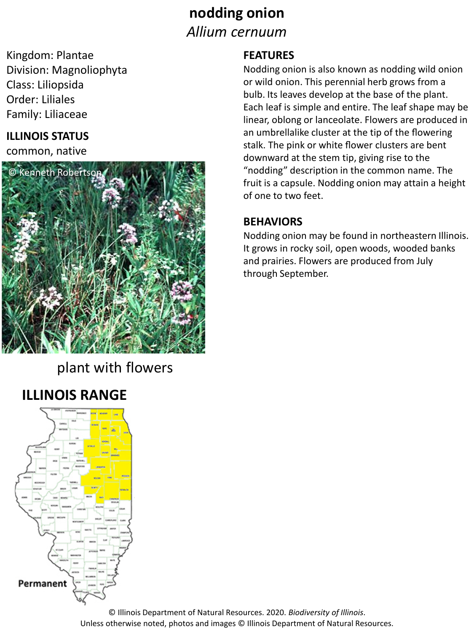# **nodding onion** *Allium cernuum*

Kingdom: Plantae Division: Magnoliophyta Class: Liliopsida Order: Liliales Family: Liliaceae

### **ILLINOIS STATUS**

common, native



plant with flowers

## **ILLINOIS RANGE**



#### **FEATURES**

Nodding onion is also known as nodding wild onion or wild onion. This perennial herb grows from a bulb. Its leaves develop at the base of the plant. Each leaf is simple and entire. The leaf shape may be linear, oblong or lanceolate. Flowers are produced in an umbrellalike cluster at the tip of the flowering stalk. The pink or white flower clusters are bent downward at the stem tip, giving rise to the "nodding" description in the common name. The fruit is a capsule. Nodding onion may attain a height of one to two feet.

#### **BEHAVIORS**

Nodding onion may be found in northeastern Illinois. It grows in rocky soil, open woods, wooded banks and prairies. Flowers are produced from July through September.